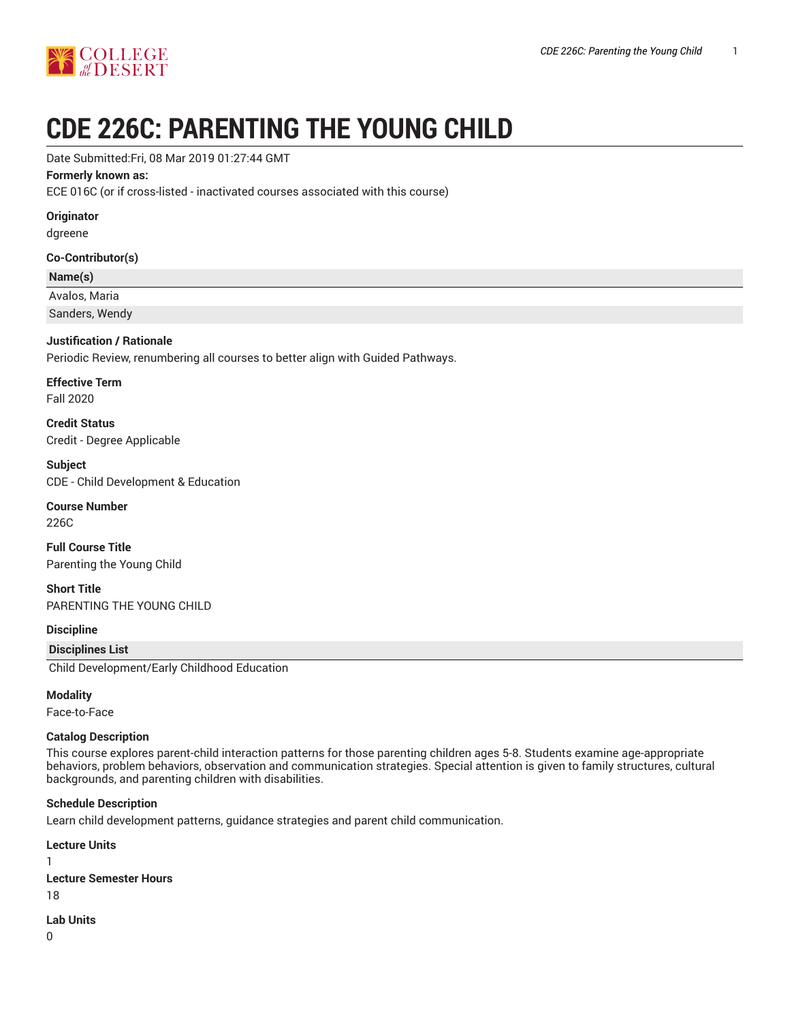

# **CDE 226C: PARENTING THE YOUNG CHILD**

#### Date Submitted:Fri, 08 Mar 2019 01:27:44 GMT

#### **Formerly known as:**

ECE 016C (or if cross-listed - inactivated courses associated with this course)

#### **Originator**

dgreene

#### **Co-Contributor(s)**

#### **Name(s)**

Avalos, Maria

Sanders, Wendy

#### **Justification / Rationale**

Periodic Review, renumbering all courses to better align with Guided Pathways.

# **Effective Term**

Fall 2020

**Credit Status** Credit - Degree Applicable

**Subject** CDE - Child Development & Education

## **Course Number**

226C

**Full Course Title** Parenting the Young Child

**Short Title** PARENTING THE YOUNG CHILD

#### **Discipline**

#### **Disciplines List**

Child Development/Early Childhood Education

#### **Modality**

Face-to-Face

#### **Catalog Description**

This course explores parent-child interaction patterns for those parenting children ages 5-8. Students examine age-appropriate behaviors, problem behaviors, observation and communication strategies. Special attention is given to family structures, cultural backgrounds, and parenting children with disabilities.

#### **Schedule Description**

Learn child development patterns, guidance strategies and parent child communication.

**Lecture Units** 1 **Lecture Semester Hours** 18

**Lab Units**

0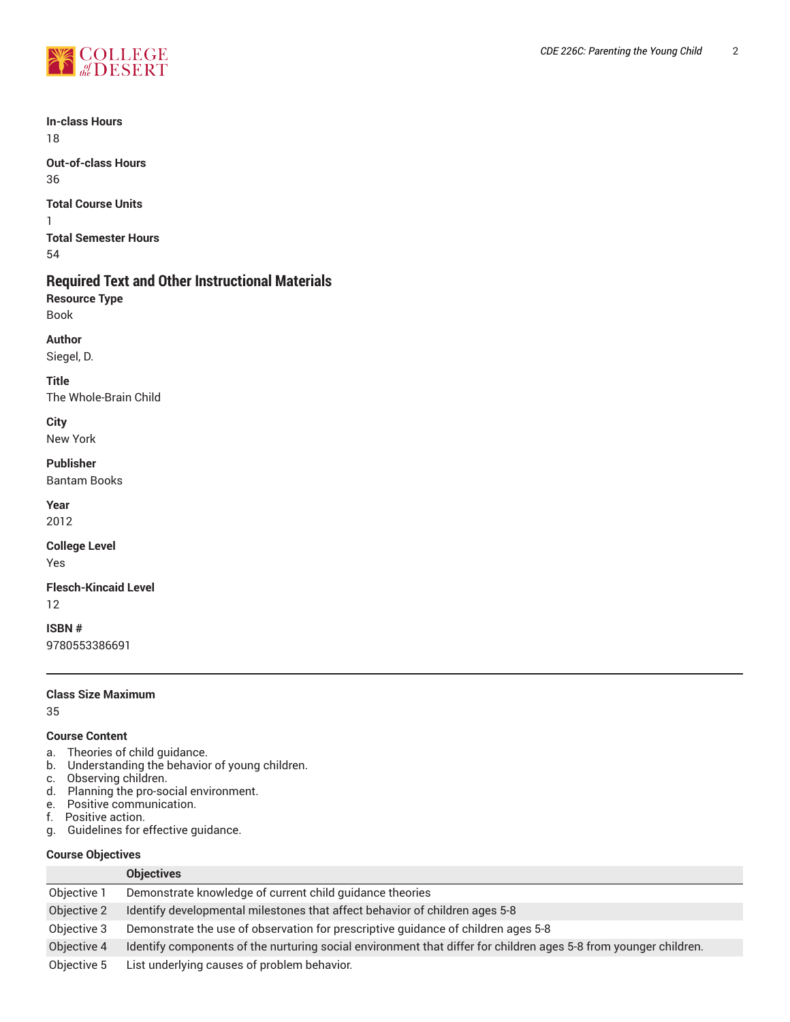

**In-class Hours** 18

**Out-of-class Hours** 36

**Total Course Units**

1 **Total Semester Hours** 54

## **Required Text and Other Instructional Materials**

**Resource Type** Book

**Author**

Siegel, D.

**Title** The Whole-Brain Child

**City** New York

#### **Publisher**

Bantam Books

**Year**

2012

**College Level**

Yes

# **Flesch-Kincaid Level**

12

**ISBN #** 9780553386691

#### **Class Size Maximum**

35

#### **Course Content**

- a. Theories of child guidance.
- b. Understanding the behavior of young children.
- c. Observing children.
- d. Planning the pro-social environment.
- e. Positive communication.
- f. Positive action.
- g. Guidelines for effective guidance.

## **Course Objectives**

|             | <b>Objectives</b>                                                                                                |  |
|-------------|------------------------------------------------------------------------------------------------------------------|--|
| Objective 1 | Demonstrate knowledge of current child guidance theories                                                         |  |
| Objective 2 | Identify developmental milestones that affect behavior of children ages 5-8                                      |  |
| Objective 3 | Demonstrate the use of observation for prescriptive guidance of children ages 5-8                                |  |
| Objective 4 | Identify components of the nurturing social environment that differ for children ages 5-8 from younger children. |  |
| Objective 5 | List underlying causes of problem behavior.                                                                      |  |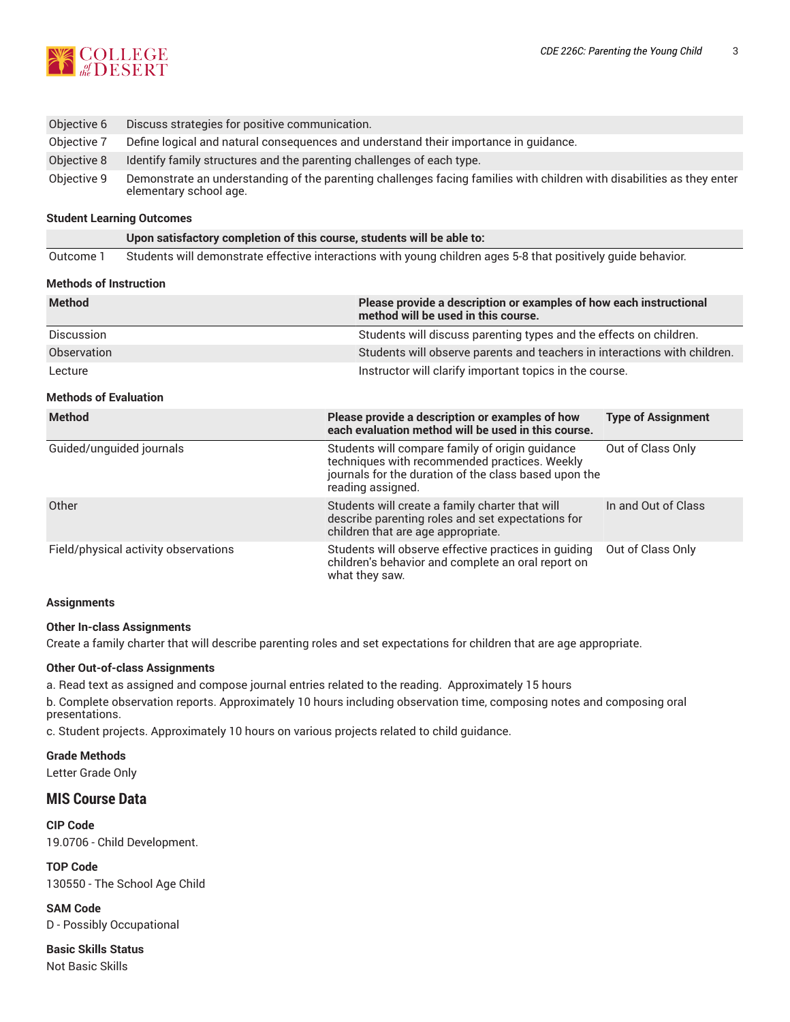

| Objective 6 | Discuss strategies for positive communication.                                                                                                   |  |
|-------------|--------------------------------------------------------------------------------------------------------------------------------------------------|--|
| Objective 7 | Define logical and natural consequences and understand their importance in guidance.                                                             |  |
| Objective 8 | Identify family structures and the parenting challenges of each type.                                                                            |  |
| Objective 9 | Demonstrate an understanding of the parenting challenges facing families with children with disabilities as they enter<br>elementary school age. |  |

#### **Student Learning Outcomes**

**Upon satisfactory completion of this course, students will be able to:**

Outcome 1 Students will demonstrate effective interactions with young children ages 5-8 that positively guide behavior.

#### **Methods of Instruction**

| <b>Method</b>                        | Please provide a description or examples of how each instructional<br>method will be used in this course.                                                                      |                                                                    |  |  |
|--------------------------------------|--------------------------------------------------------------------------------------------------------------------------------------------------------------------------------|--------------------------------------------------------------------|--|--|
| Discussion                           |                                                                                                                                                                                | Students will discuss parenting types and the effects on children. |  |  |
| Observation                          | Students will observe parents and teachers in interactions with children.                                                                                                      |                                                                    |  |  |
| Lecture                              | Instructor will clarify important topics in the course.                                                                                                                        |                                                                    |  |  |
| <b>Methods of Evaluation</b>         |                                                                                                                                                                                |                                                                    |  |  |
| <b>Method</b>                        | Please provide a description or examples of how<br>each evaluation method will be used in this course.                                                                         | <b>Type of Assignment</b>                                          |  |  |
| Guided/unguided journals             | Students will compare family of origin guidance<br>techniques with recommended practices. Weekly<br>journals for the duration of the class based upon the<br>reading assigned. | Out of Class Only                                                  |  |  |
| Other                                | Students will create a family charter that will<br>describe parenting roles and set expectations for<br>children that are age appropriate.                                     | In and Out of Class                                                |  |  |
| Field/physical activity observations | Students will observe effective practices in guiding<br>children's behavior and complete an oral report on<br>what they saw.                                                   | Out of Class Only                                                  |  |  |

#### **Assignments**

#### **Other In-class Assignments**

Create a family charter that will describe parenting roles and set expectations for children that are age appropriate.

#### **Other Out-of-class Assignments**

a. Read text as assigned and compose journal entries related to the reading. Approximately 15 hours

b. Complete observation reports. Approximately 10 hours including observation time, composing notes and composing oral presentations.

c. Student projects. Approximately 10 hours on various projects related to child guidance.

**Grade Methods** Letter Grade Only

## **MIS Course Data**

**CIP Code** 19.0706 - Child Development.

**TOP Code** 130550 - The School Age Child

**SAM Code** D - Possibly Occupational

**Basic Skills Status** Not Basic Skills